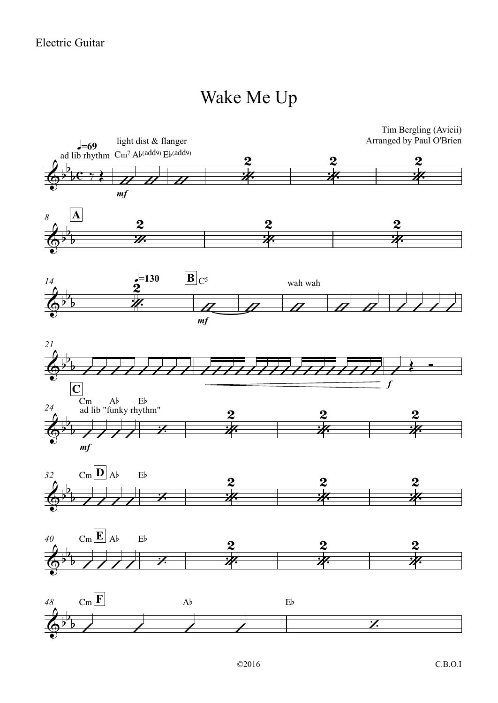## Wake Me Up